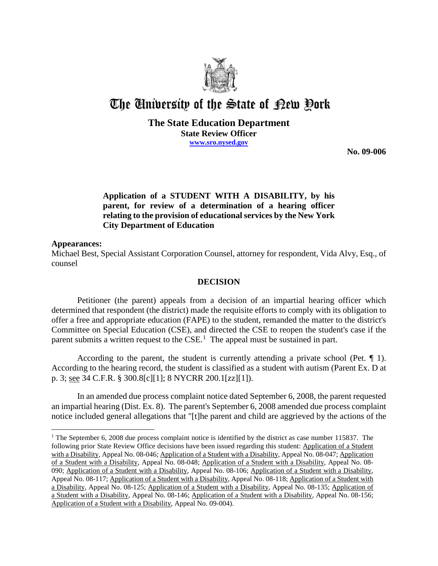

# The University of the State of Pew Pork

### **The State Education Department State Review Officer www.sro.nysed.gov**

**No. 09-006** 

# **Application of a STUDENT WITH A DISABILITY, by his parent, for review of a determination of a hearing officer relating to the provision of educational services by the New York City Department of Education**

#### **Appearances:**

 $\overline{a}$ 

Michael Best, Special Assistant Corporation Counsel, attorney for respondent, Vida Alvy, Esq., of counsel

## **DECISION**

Petitioner (the parent) appeals from a decision of an impartial hearing officer which determined that respondent (the district) made the requisite efforts to comply with its obligation to offer a free and appropriate education (FAPE) to the student, remanded the matter to the district's Committee on Special Education (CSE), and directed the CSE to reopen the student's case if the parent submits a written request to the  $CSE<sup>1</sup>$ . The appeal must be sustained in part.

According to the parent, the student is currently attending a private school (Pet.  $\P$  1). According to the hearing record, the student is classified as a student with autism (Parent Ex. D at p. 3; see 34 C.F.R. § 300.8[c][1]; 8 NYCRR 200.1[zz][1]).

In an amended due process complaint notice dated September 6, 2008, the parent requested an impartial hearing (Dist. Ex. 8). The parent's September 6, 2008 amended due process complaint notice included general allegations that "[t]he parent and child are aggrieved by the actions of the

<sup>&</sup>lt;sup>1</sup> The September 6, 2008 due process complaint notice is identified by the district as case number 115837. The following prior State Review Office decisions have been issued regarding this student: Application of a Student with a Disability, Appeal No. 08-046; Application of a Student with a Disability, Appeal No. 08-047; Application of a Student with a Disability, Appeal No. 08-048; Application of a Student with a Disability, Appeal No. 08- 090; Application of a Student with a Disability, Appeal No. 08-106; Application of a Student with a Disability, Appeal No. 08-117; Application of a Student with a Disability, Appeal No. 08-118; Application of a Student with a Disability, Appeal No. 08-125; Application of a Student with a Disability, Appeal No. 08-135; Application of a Student with a Disability, Appeal No. 08-146; Application of a Student with a Disability, Appeal No. 08-156; Application of a Student with a Disability, Appeal No. 09-004).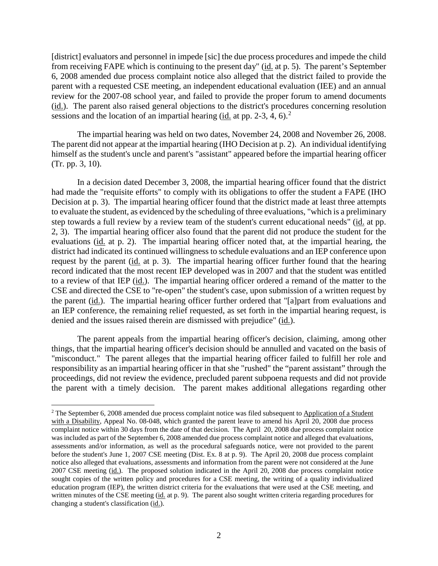[district] evaluators and personnel in impede [sic] the due process procedures and impede the child from receiving FAPE which is continuing to the present day" (id. at p. 5). The parent's September 6, 2008 amended due process complaint notice also alleged that the district failed to provide the parent with a requested CSE meeting, an independent educational evaluation (IEE) and an annual review for the 2007-08 school year, and failed to provide the proper forum to amend documents (id.). The parent also raised general objections to the district's procedures concerning resolution sessions and the location of an impartial hearing  $(id$  at pp. 2-3, 4, 6).<sup>2</sup>

The impartial hearing was held on two dates, November 24, 2008 and November 26, 2008. The parent did not appear at the impartial hearing (IHO Decision at p. 2). An individual identifying himself as the student's uncle and parent's "assistant" appeared before the impartial hearing officer (Tr. pp. 3, 10).

In a decision dated December 3, 2008, the impartial hearing officer found that the district had made the "requisite efforts" to comply with its obligations to offer the student a FAPE (IHO Decision at p. 3). The impartial hearing officer found that the district made at least three attempts to evaluate the student, as evidenced by the scheduling of three evaluations, "which is a preliminary step towards a full review by a review team of the student's current educational needs" (id. at pp. 2, 3). The impartial hearing officer also found that the parent did not produce the student for the evaluations (id. at p. 2). The impartial hearing officer noted that, at the impartial hearing, the district had indicated its continued willingness to schedule evaluations and an IEP conference upon request by the parent (id. at p. 3). The impartial hearing officer further found that the hearing record indicated that the most recent IEP developed was in 2007 and that the student was entitled to a review of that IEP (id.). The impartial hearing officer ordered a remand of the matter to the CSE and directed the CSE to "re-open" the student's case, upon submission of a written request by the parent (id.). The impartial hearing officer further ordered that "[a]part from evaluations and an IEP conference, the remaining relief requested, as set forth in the impartial hearing request, is denied and the issues raised therein are dismissed with prejudice" (id.).

The parent appeals from the impartial hearing officer's decision, claiming, among other things, that the impartial hearing officer's decision should be annulled and vacated on the basis of "misconduct." The parent alleges that the impartial hearing officer failed to fulfill her role and responsibility as an impartial hearing officer in that she "rushed" the "parent assistant" through the proceedings, did not review the evidence, precluded parent subpoena requests and did not provide the parent with a timely decision. The parent makes additional allegations regarding other

<sup>&</sup>lt;sup>2</sup> The September 6, 2008 amended due process complaint notice was filed subsequent to Application of a Student with a Disability, Appeal No. 08-048, which granted the parent leave to amend his April 20, 2008 due process complaint notice within 30 days from the date of that decision. The April 20, 2008 due process complaint notice was included as part of the September 6, 2008 amended due process complaint notice and alleged that evaluations, assessments and/or information, as well as the procedural safeguards notice, were not provided to the parent before the student's June 1, 2007 CSE meeting (Dist. Ex. 8 at p. 9). The April 20, 2008 due process complaint notice also alleged that evaluations, assessments and information from the parent were not considered at the June 2007 CSE meeting  $(id)$ . The proposed solution indicated in the April 20, 2008 due process complaint notice sought copies of the written policy and procedures for a CSE meeting, the writing of a quality individualized education program (IEP), the written district criteria for the evaluations that were used at the CSE meeting, and written minutes of the CSE meeting (id. at p. 9). The parent also sought written criteria regarding procedures for changing a student's classification (id.).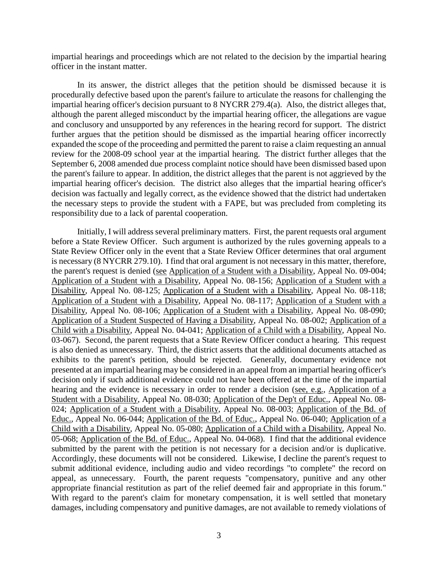impartial hearings and proceedings which are not related to the decision by the impartial hearing officer in the instant matter.

In its answer, the district alleges that the petition should be dismissed because it is procedurally defective based upon the parent's failure to articulate the reasons for challenging the impartial hearing officer's decision pursuant to 8 NYCRR 279.4(a). Also, the district alleges that, although the parent alleged misconduct by the impartial hearing officer, the allegations are vague and conclusory and unsupported by any references in the hearing record for support. The district further argues that the petition should be dismissed as the impartial hearing officer incorrectly expanded the scope of the proceeding and permitted the parent to raise a claim requesting an annual review for the 2008-09 school year at the impartial hearing. The district further alleges that the September 6, 2008 amended due process complaint notice should have been dismissed based upon the parent's failure to appear. In addition, the district alleges that the parent is not aggrieved by the impartial hearing officer's decision. The district also alleges that the impartial hearing officer's decision was factually and legally correct, as the evidence showed that the district had undertaken the necessary steps to provide the student with a FAPE, but was precluded from completing its responsibility due to a lack of parental cooperation.

Initially, I will address several preliminary matters. First, the parent requests oral argument before a State Review Officer. Such argument is authorized by the rules governing appeals to a State Review Officer only in the event that a State Review Officer determines that oral argument is necessary (8 NYCRR 279.10). I find that oral argument is not necessary in this matter, therefore, the parent's request is denied (see Application of a Student with a Disability, Appeal No. 09-004; Application of a Student with a Disability, Appeal No. 08-156; Application of a Student with a Disability, Appeal No. 08-125; Application of a Student with a Disability, Appeal No. 08-118; Application of a Student with a Disability, Appeal No. 08-117; Application of a Student with a Disability, Appeal No. 08-106; Application of a Student with a Disability, Appeal No. 08-090; Application of a Student Suspected of Having a Disability, Appeal No. 08-002; Application of a Child with a Disability, Appeal No. 04-041; Application of a Child with a Disability, Appeal No. 03-067). Second, the parent requests that a State Review Officer conduct a hearing. This request is also denied as unnecessary. Third, the district asserts that the additional documents attached as exhibits to the parent's petition, should be rejected. Generally, documentary evidence not presented at an impartial hearing may be considered in an appeal from an impartial hearing officer's decision only if such additional evidence could not have been offered at the time of the impartial hearing and the evidence is necessary in order to render a decision (see, e.g., Application of a Student with a Disability, Appeal No. 08-030; Application of the Dep't of Educ., Appeal No. 08- 024; Application of a Student with a Disability, Appeal No. 08-003; Application of the Bd. of Educ., Appeal No. 06-044; Application of the Bd. of Educ., Appeal No. 06-040; Application of a Child with a Disability, Appeal No. 05-080; Application of a Child with a Disability, Appeal No. 05-068; Application of the Bd. of Educ., Appeal No. 04-068). I find that the additional evidence submitted by the parent with the petition is not necessary for a decision and/or is duplicative. Accordingly, these documents will not be considered. Likewise, I decline the parent's request to submit additional evidence, including audio and video recordings "to complete" the record on appeal, as unnecessary. Fourth, the parent requests "compensatory, punitive and any other appropriate financial restitution as part of the relief deemed fair and appropriate in this forum." With regard to the parent's claim for monetary compensation, it is well settled that monetary damages, including compensatory and punitive damages, are not available to remedy violations of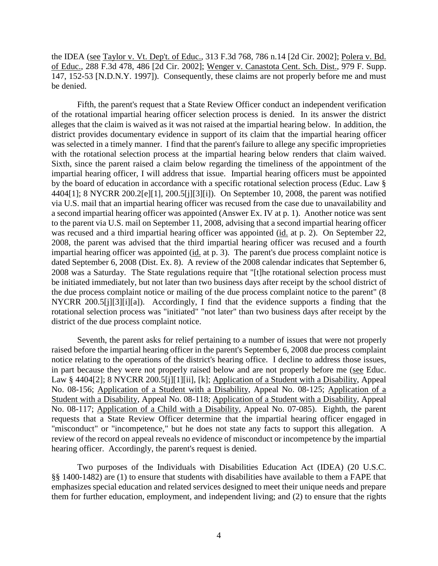the IDEA (see Taylor v. Vt. Dep't. of Educ., 313 F.3d 768, 786 n.14 [2d Cir. 2002]; Polera v. Bd. of Educ., 288 F.3d 478, 486 [2d Cir. 2002]; Wenger v. Canastota Cent. Sch. Dist., 979 F. Supp. 147, 152-53 [N.D.N.Y. 1997]). Consequently, these claims are not properly before me and must be denied.

Fifth, the parent's request that a State Review Officer conduct an independent verification of the rotational impartial hearing officer selection process is denied. In its answer the district alleges that the claim is waived as it was not raised at the impartial hearing below. In addition, the district provides documentary evidence in support of its claim that the impartial hearing officer was selected in a timely manner. I find that the parent's failure to allege any specific improprieties with the rotational selection process at the impartial hearing below renders that claim waived. Sixth, since the parent raised a claim below regarding the timeliness of the appointment of the impartial hearing officer, I will address that issue. Impartial hearing officers must be appointed by the board of education in accordance with a specific rotational selection process (Educ. Law § 4404[1]; 8 NYCRR 200.2[e][1], 200.5[j][3][i]). On September 10, 2008, the parent was notified via U.S. mail that an impartial hearing officer was recused from the case due to unavailability and a second impartial hearing officer was appointed (Answer Ex. IV at p. 1). Another notice was sent to the parent via U.S. mail on September 11, 2008, advising that a second impartial hearing officer was recused and a third impartial hearing officer was appointed (id. at p. 2). On September 22, 2008, the parent was advised that the third impartial hearing officer was recused and a fourth impartial hearing officer was appointed (id. at p. 3). The parent's due process complaint notice is dated September 6, 2008 (Dist. Ex. 8). A review of the 2008 calendar indicates that September 6, 2008 was a Saturday. The State regulations require that "[t]he rotational selection process must be initiated immediately, but not later than two business days after receipt by the school district of the due process complaint notice or mailing of the due process complaint notice to the parent" (8 NYCRR 200.5[j][3][i][a]). Accordingly, I find that the evidence supports a finding that the rotational selection process was "initiated" "not later" than two business days after receipt by the district of the due process complaint notice.

Seventh, the parent asks for relief pertaining to a number of issues that were not properly raised before the impartial hearing officer in the parent's September 6, 2008 due process complaint notice relating to the operations of the district's hearing office. I decline to address those issues, in part because they were not properly raised below and are not properly before me (see Educ. Law § 4404[2]; 8 NYCRR 200.5[j][1][ii], [k]; Application of a Student with a Disability, Appeal No. 08-156; Application of a Student with a Disability, Appeal No. 08-125; Application of a Student with a Disability, Appeal No. 08-118; Application of a Student with a Disability, Appeal No. 08-117; Application of a Child with a Disability, Appeal No. 07-085). Eighth, the parent requests that a State Review Officer determine that the impartial hearing officer engaged in "misconduct" or "incompetence," but he does not state any facts to support this allegation. A review of the record on appeal reveals no evidence of misconduct or incompetence by the impartial hearing officer. Accordingly, the parent's request is denied.

Two purposes of the Individuals with Disabilities Education Act (IDEA) (20 U.S.C. §§ 1400-1482) are (1) to ensure that students with disabilities have available to them a FAPE that emphasizes special education and related services designed to meet their unique needs and prepare them for further education, employment, and independent living; and (2) to ensure that the rights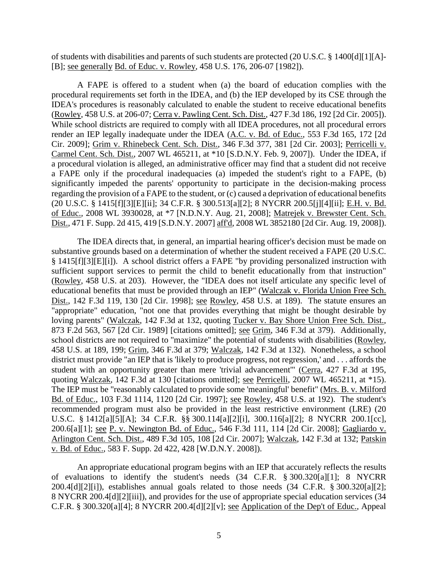of students with disabilities and parents of such students are protected (20 U.S.C. § 1400[d][1][A]- [B]; see generally Bd. of Educ. v. Rowley, 458 U.S. 176, 206-07 [1982]).

A FAPE is offered to a student when (a) the board of education complies with the procedural requirements set forth in the IDEA, and (b) the IEP developed by its CSE through the IDEA's procedures is reasonably calculated to enable the student to receive educational benefits (Rowley, 458 U.S. at 206-07; Cerra v. Pawling Cent. Sch. Dist., 427 F.3d 186, 192 [2d Cir. 2005]). While school districts are required to comply with all IDEA procedures, not all procedural errors render an IEP legally inadequate under the IDEA (A.C. v. Bd. of Educ., 553 F.3d 165, 172 [2d Cir. 2009]; Grim v. Rhinebeck Cent. Sch. Dist., 346 F.3d 377, 381 [2d Cir. 2003]; Perricelli v. Carmel Cent. Sch. Dist., 2007 WL 465211, at \*10 [S.D.N.Y. Feb. 9, 2007]). Under the IDEA, if a procedural violation is alleged, an administrative officer may find that a student did not receive a FAPE only if the procedural inadequacies (a) impeded the student's right to a FAPE, (b) significantly impeded the parents' opportunity to participate in the decision-making process regarding the provision of a FAPE to the student, or (c) caused a deprivation of educational benefits (20 U.S.C. § 1415[f][3][E][ii]; 34 C.F.R. § 300.513[a][2]; 8 NYCRR 200.5[j][4][ii]; E.H. v. Bd. of Educ., 2008 WL 3930028, at \*7 [N.D.N.Y. Aug. 21, 2008]; Matrejek v. Brewster Cent. Sch. Dist., 471 F. Supp. 2d 415, 419 [S.D.N.Y. 2007] aff'd, 2008 WL 3852180 [2d Cir. Aug. 19, 2008]).

The IDEA directs that, in general, an impartial hearing officer's decision must be made on substantive grounds based on a determination of whether the student received a FAPE (20 U.S.C. § 1415[f][3][E][i]). A school district offers a FAPE "by providing personalized instruction with sufficient support services to permit the child to benefit educationally from that instruction" (Rowley, 458 U.S. at 203). However, the "IDEA does not itself articulate any specific level of educational benefits that must be provided through an IEP" (Walczak v. Florida Union Free Sch. Dist., 142 F.3d 119, 130 [2d Cir. 1998]; see Rowley, 458 U.S. at 189). The statute ensures an "appropriate" education, "not one that provides everything that might be thought desirable by loving parents" (Walczak, 142 F.3d at 132, quoting Tucker v. Bay Shore Union Free Sch. Dist., 873 F.2d 563, 567 [2d Cir. 1989] [citations omitted]; see Grim, 346 F.3d at 379). Additionally, school districts are not required to "maximize" the potential of students with disabilities (Rowley, 458 U.S. at 189, 199; Grim, 346 F.3d at 379; Walczak, 142 F.3d at 132). Nonetheless, a school district must provide "an IEP that is 'likely to produce progress, not regression,' and . . . affords the student with an opportunity greater than mere 'trivial advancement'" (Cerra, 427 F.3d at 195, quoting Walczak, 142 F.3d at 130 [citations omitted]; see Perricelli, 2007 WL 465211, at \*15). The IEP must be "reasonably calculated to provide some 'meaningful' benefit" (Mrs. B. v. Milford Bd. of Educ., 103 F.3d 1114, 1120 [2d Cir. 1997]; see Rowley, 458 U.S. at 192). The student's recommended program must also be provided in the least restrictive environment (LRE) (20 U.S.C. § 1412[a][5][A]; 34 C.F.R. §§ 300.114[a][2][i], 300.116[a][2]; 8 NYCRR 200.1[cc], 200.6[a][1]; see P. v. Newington Bd. of Educ., 546 F.3d 111, 114 [2d Cir. 2008]; Gagliardo v. Arlington Cent. Sch. Dist., 489 F.3d 105, 108 [2d Cir. 2007]; Walczak, 142 F.3d at 132; Patskin v. Bd. of Educ., 583 F. Supp. 2d 422, 428 [W.D.N.Y. 2008]).

An appropriate educational program begins with an IEP that accurately reflects the results of evaluations to identify the student's needs (34 C.F.R. § 300.320[a][1]; 8 NYCRR 200.4[d][2][i]), establishes annual goals related to those needs (34 C.F.R. § 300.320[a][2]; 8 NYCRR 200.4[d][2][iii]), and provides for the use of appropriate special education services (34 C.F.R. § 300.320[a][4]; 8 NYCRR 200.4[d][2][v]; see Application of the Dep't of Educ., Appeal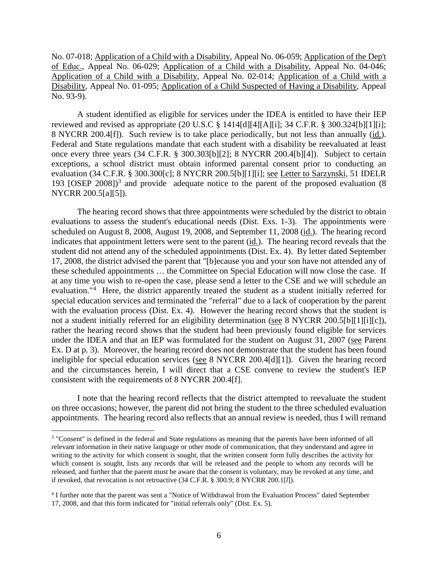No. 07-018; Application of a Child with a Disability, Appeal No. 06-059; Application of the Dep't of Educ., Appeal No. 06-029; Application of a Child with a Disability, Appeal No. 04-046; Application of a Child with a Disability, Appeal No. 02-014; Application of a Child with a Disability, Appeal No. 01-095; Application of a Child Suspected of Having a Disability, Appeal No. 93-9).

A student identified as eligible for services under the IDEA is entitled to have their IEP reviewed and revised as appropriate (20 U.S.C § 1414[d][4][A][i]; 34 C.F.R. § 300.324[b][1][i]; 8 NYCRR 200.4[f]). Such review is to take place periodically, but not less than annually (id.). Federal and State regulations mandate that each student with a disability be reevaluated at least once every three years (34 C.F.R. § 300.303[b][2]; 8 NYCRR 200.4[b][4]). Subject to certain exceptions, a school district must obtain informed parental consent prior to conducting an evaluation (34 C.F.R. § 300.300[c]; 8 NYCRR 200.5[b][1][i]; see Letter to Sarzynski, 51 IDELR 193 [OSEP 2008]) <sup>3</sup> and provide adequate notice to the parent of the proposed evaluation (8 NYCRR 200.5[a][5]).

The hearing record shows that three appointments were scheduled by the district to obtain evaluations to assess the student's educational needs (Dist. Exs. 1-3). The appointments were scheduled on August 8, 2008, August 19, 2008, and September 11, 2008 (id.). The hearing record indicates that appointment letters were sent to the parent (id.). The hearing record reveals that the student did not attend any of the scheduled appointments (Dist. Ex. 4). By letter dated September 17, 2008, the district advised the parent that "[b]ecause you and your son have not attended any of these scheduled appointments … the Committee on Special Education will now close the case. If at any time you wish to re-open the case, please send a letter to the CSE and we will schedule an evaluation."<sup>4</sup> Here, the district apparently treated the student as a student initially referred for special education services and terminated the "referral" due to a lack of cooperation by the parent with the evaluation process (Dist. Ex. 4). However the hearing record shows that the student is not a student initially referred for an eligibility determination (see 8 NYCRR 200.5[b][1][i][c]), rather the hearing record shows that the student had been previously found eligible for services under the IDEA and that an IEP was formulated for the student on August 31, 2007 (see Parent Ex. D at p. 3). Moreover, the hearing record does not demonstrate that the student has been found ineligible for special education services (see 8 NYCRR 200.4[d][1]). Given the hearing record and the circumstances herein, I will direct that a CSE convene to review the student's IEP consistent with the requirements of 8 NYCRR 200.4[f].

I note that the hearing record reflects that the district attempted to reevaluate the student on three occasions; however, the parent did not bring the student to the three scheduled evaluation appointments. The hearing record also reflects that an annual review is needed, thus I will remand

 <sup>3</sup> "Consent" is defined in the federal and State regulations as meaning that the parents have been informed of all relevant information in their native language or other mode of communication, that they understand and agree in writing to the activity for which consent is sought, that the written consent form fully describes the activity for which consent is sought, lists any records that will be released and the people to whom any records will be released, and further that the parent must be aware that the consent is voluntary, may be revoked at any time, and if revoked, that revocation is not retroactive (34 C.F.R. § 300.9; 8 NYCRR 200.1[*l*]).

<sup>4</sup> I further note that the parent was sent a "Notice of Withdrawal from the Evaluation Process" dated September 17, 2008, and that this form indicated for "initial referrals only" (Dist. Ex. 5).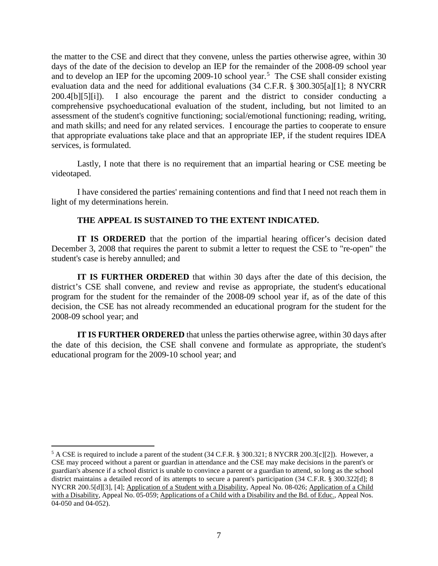the matter to the CSE and direct that they convene, unless the parties otherwise agree, within 30 days of the date of the decision to develop an IEP for the remainder of the 2008-09 school year and to develop an IEP for the upcoming 2009-10 school year.<sup>5</sup> The CSE shall consider existing evaluation data and the need for additional evaluations (34 C.F.R. § 300.305[a][1]; 8 NYCRR 200.4[b][5][i]). I also encourage the parent and the district to consider conducting a comprehensive psychoeducational evaluation of the student, including, but not limited to an assessment of the student's cognitive functioning; social/emotional functioning; reading, writing, and math skills; and need for any related services. I encourage the parties to cooperate to ensure that appropriate evaluations take place and that an appropriate IEP, if the student requires IDEA services, is formulated.

Lastly, I note that there is no requirement that an impartial hearing or CSE meeting be videotaped.

I have considered the parties' remaining contentions and find that I need not reach them in light of my determinations herein.

## **THE APPEAL IS SUSTAINED TO THE EXTENT INDICATED.**

**IT IS ORDERED** that the portion of the impartial hearing officer's decision dated December 3, 2008 that requires the parent to submit a letter to request the CSE to "re-open" the student's case is hereby annulled; and

**IT IS FURTHER ORDERED** that within 30 days after the date of this decision, the district's CSE shall convene, and review and revise as appropriate, the student's educational program for the student for the remainder of the 2008-09 school year if, as of the date of this decision, the CSE has not already recommended an educational program for the student for the 2008-09 school year; and

**IT IS FURTHER ORDERED** that unless the parties otherwise agree, within 30 days after the date of this decision, the CSE shall convene and formulate as appropriate, the student's educational program for the 2009-10 school year; and

 $<sup>5</sup>$  A CSE is required to include a parent of the student (34 C.F.R. § 300.321; 8 NYCRR 200.3[c][2]). However, a</sup> CSE may proceed without a parent or guardian in attendance and the CSE may make decisions in the parent's or guardian's absence if a school district is unable to convince a parent or a guardian to attend, so long as the school district maintains a detailed record of its attempts to secure a parent's participation (34 C.F.R. § 300.322[d]; 8 NYCRR 200.5[d][3], [4]; Application of a Student with a Disability, Appeal No. 08-026; Application of a Child with a Disability, Appeal No. 05-059; Applications of a Child with a Disability and the Bd. of Educ., Appeal Nos. 04-050 and 04-052).